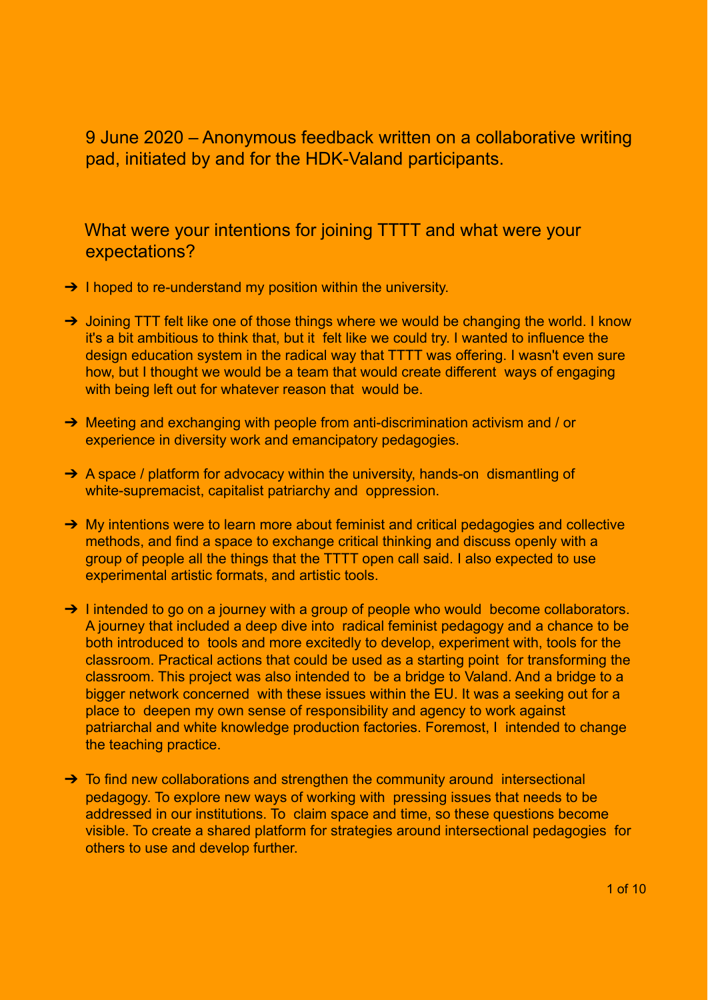9 June 2020 – Anonymous feedback written on a collaborative writing pad, initiated by and for the HDK-Valand participants.

What were your intentions for joining TTTT and what were your expectations?

- → I hoped to re-understand my position within the university.
- → Joining TTT felt like one of those things where we would be changing the world. I know it's a bit ambitious to think that, but it felt like we could try. I wanted to influence the design education system in the radical way that TTTT was offering. I wasn't even sure how, but I thought we would be a team that would create different ways of engaging with being left out for whatever reason that would be.
- ➔ Meeting and exchanging with people from anti-discrimination activism and / or experience in diversity work and emancipatory pedagogies.
- → A space / platform for advocacy within the university, hands-on dismantling of white-supremacist, capitalist patriarchy and oppression.
- → My intentions were to learn more about feminist and critical pedagogies and collective methods, and find a space to exchange critical thinking and discuss openly with a group of people all the things that the TTTT open call said. I also expected to use experimental artistic formats, and artistic tools.
- → I intended to go on a journey with a group of people who would become collaborators. A journey that included a deep dive into radical feminist pedagogy and a chance to be both introduced to tools and more excitedly to develop, experiment with, tools for the classroom. Practical actions that could be used as a starting point for transforming the classroom. This project was also intended to be a bridge to Valand. And a bridge to a bigger network concerned with these issues within the EU. It was a seeking out for a place to deepen my own sense of responsibility and agency to work against patriarchal and white knowledge production factories. Foremost, I intended to change the teaching practice.
- → To find new collaborations and strengthen the community around intersectional pedagogy. To explore new ways of working with pressing issues that needs to be addressed in our institutions. To claim space and time, so these questions become visible. To create a shared platform for strategies around intersectional pedagogies for others to use and develop further.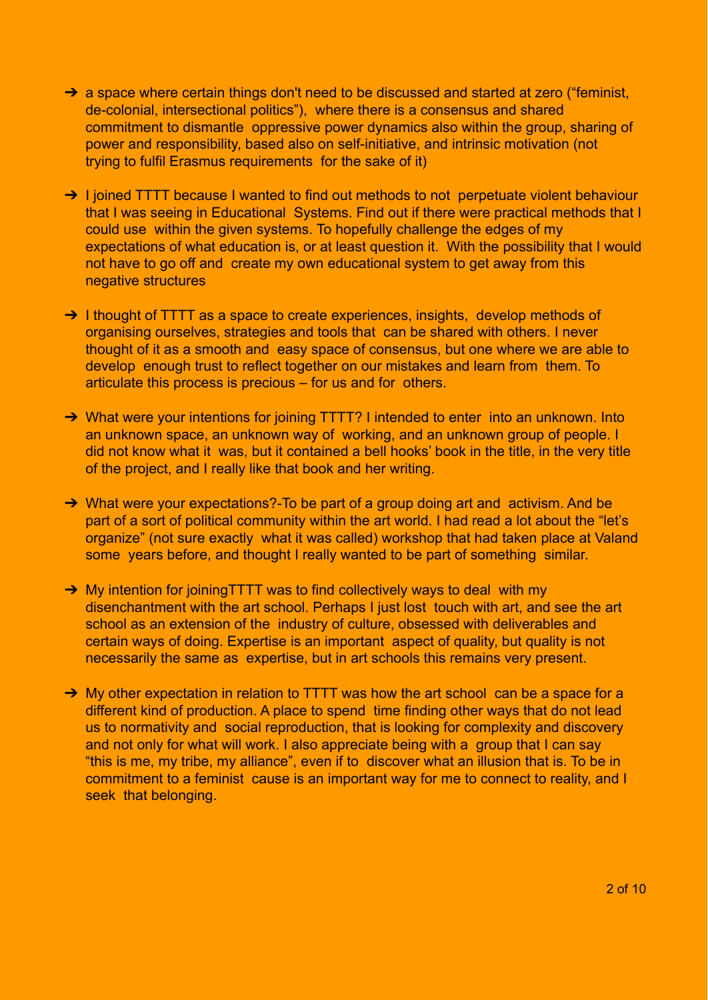- → a space where certain things don't need to be discussed and started at zero ("feminist, de-colonial, intersectional politics"), where there is a consensus and shared commitment to dismantle oppressive power dynamics also within the group, sharing of power and responsibility, based also on self-initiative, and intrinsic motivation (not trying to fulfil Erasmus requirements for the sake of it)
- → I joined TTTT because I wanted to find out methods to not perpetuate violent behaviour that I was seeing in Educational Systems. Find out if there were practical methods that I could use within the given systems. To hopefully challenge the edges of my expectations of what education is, or at least question it. With the possibility that I would not have to go off and create my own educational system to get away from this negative structures
- → I thought of TTTT as a space to create experiences, insights, develop methods of organising ourselves, strategies and tools that can be shared with others. I never thought of it as a smooth and easy space of consensus, but one where we are able to develop enough trust to reflect together on our mistakes and learn from them. To articulate this process is precious – for us and for others.
- → What were your intentions for joining TTTT? I intended to enter into an unknown. Into an unknown space, an unknown way of working, and an unknown group of people. I did not know what it was, but it contained a bell hooks' book in the title, in the very title of the project, and I really like that book and her writing.
- → What were your expectations?-To be part of a group doing art and activism. And be part of a sort of political community within the art world. I had read a lot about the "let's organize" (not sure exactly what it was called) workshop that had taken place at Valand some years before, and thought I really wanted to be part of something similar.
- → My intention for joiningTTTT was to find collectively ways to deal with my disenchantment with the art school. Perhaps I just lost touch with art, and see the art school as an extension of the industry of culture, obsessed with deliverables and certain ways of doing. Expertise is an important aspect of quality, but quality is not necessarily the same as expertise, but in art schools this remains very present.
- → My other expectation in relation to TTTT was how the art school can be a space for a different kind of production. A place to spend time finding other ways that do not lead us to normativity and social reproduction, that is looking for complexity and discovery and not only for what will work. I also appreciate being with a group that I can say "this is me, my tribe, my alliance", even if to discover what an illusion that is. To be in commitment to a feminist cause is an important way for me to connect to reality, and I seek that belonging.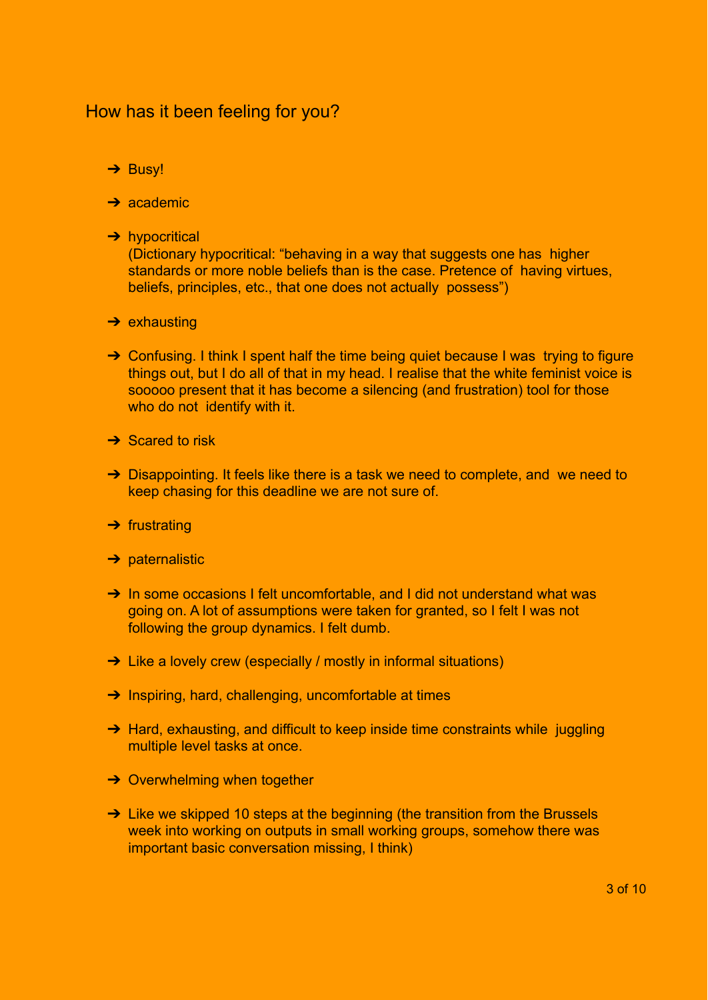## How has it been feeling for you?

- → Busy!
- $\rightarrow$  academic
- **→** hypocritical

(Dictionary hypocritical: "behaving in a way that suggests one has higher standards or more noble beliefs than is the case. Pretence of having virtues, beliefs, principles, etc., that one does not actually possess")

- $\rightarrow$  exhausting
- → Confusing. I think I spent half the time being quiet because I was trying to figure things out, but I do all of that in my head. I realise that the white feminist voice is sooooo present that it has become a silencing (and frustration) tool for those who do not identify with it.
- $\rightarrow$  Scared to risk
- → Disappointing. It feels like there is a task we need to complete, and we need to keep chasing for this deadline we are not sure of.
- $\rightarrow$  frustrating
- $\rightarrow$  paternalistic
- → In some occasions I felt uncomfortable, and I did not understand what was going on. A lot of assumptions were taken for granted, so I felt I was not following the group dynamics. I felt dumb.
- → Like a lovely crew (especially / mostly in informal situations)
- **→** Inspiring, hard, challenging, uncomfortable at times
- → Hard, exhausting, and difficult to keep inside time constraints while juggling multiple level tasks at once.
- **→ Overwhelming when together**
- → Like we skipped 10 steps at the beginning (the transition from the Brussels week into working on outputs in small working groups, somehow there was important basic conversation missing, I think)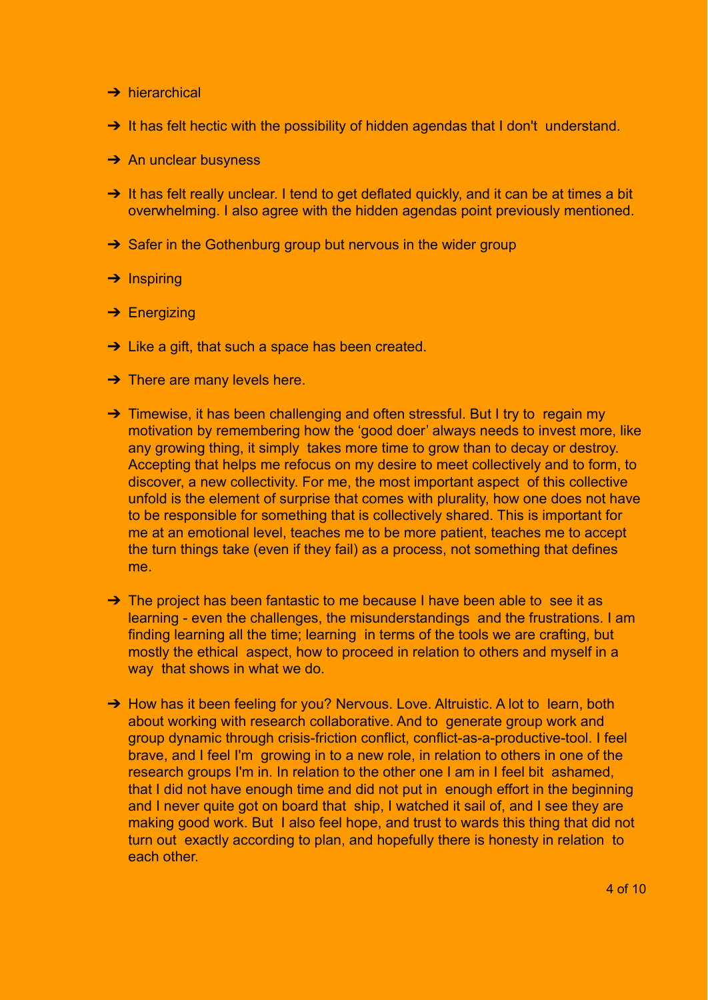- **→ hierarchical**
- → It has felt hectic with the possibility of hidden agendas that I don't understand.
- $\rightarrow$  An unclear busyness
- → It has felt really unclear. I tend to get deflated quickly, and it can be at times a bit overwhelming. I also agree with the hidden agendas point previously mentioned.
- **→** Safer in the Gothenburg group but nervous in the wider group
- **→ Inspiring**
- **→ Energizing**
- **→** Like a gift, that such a space has been created.
- $\rightarrow$  There are many levels here.
- → Timewise, it has been challenging and often stressful. But I try to regain my motivation by remembering how the 'good doer' always needs to invest more, like any growing thing, it simply takes more time to grow than to decay or destroy. Accepting that helps me refocus on my desire to meet collectively and to form, to discover, a new collectivity. For me, the most important aspect of this collective unfold is the element of surprise that comes with plurality, how one does not have to be responsible for something that is collectively shared. This is important for me at an emotional level, teaches me to be more patient, teaches me to accept the turn things take (even if they fail) as a process, not something that defines me.
- → The project has been fantastic to me because I have been able to see it as learning - even the challenges, the misunderstandings and the frustrations. I am finding learning all the time; learning in terms of the tools we are crafting, but mostly the ethical aspect, how to proceed in relation to others and myself in a way that shows in what we do.
- → How has it been feeling for you? Nervous. Love. Altruistic. A lot to learn, both about working with research collaborative. And to generate group work and group dynamic through crisis-friction conflict, conflict-as-a-productive-tool. I feel brave, and I feel I'm growing in to a new role, in relation to others in one of the research groups I'm in. In relation to the other one I am in I feel bit ashamed, that I did not have enough time and did not put in enough effort in the beginning and I never quite got on board that ship, I watched it sail of, and I see they are making good work. But I also feel hope, and trust to wards this thing that did not turn out exactly according to plan, and hopefully there is honesty in relation to each other.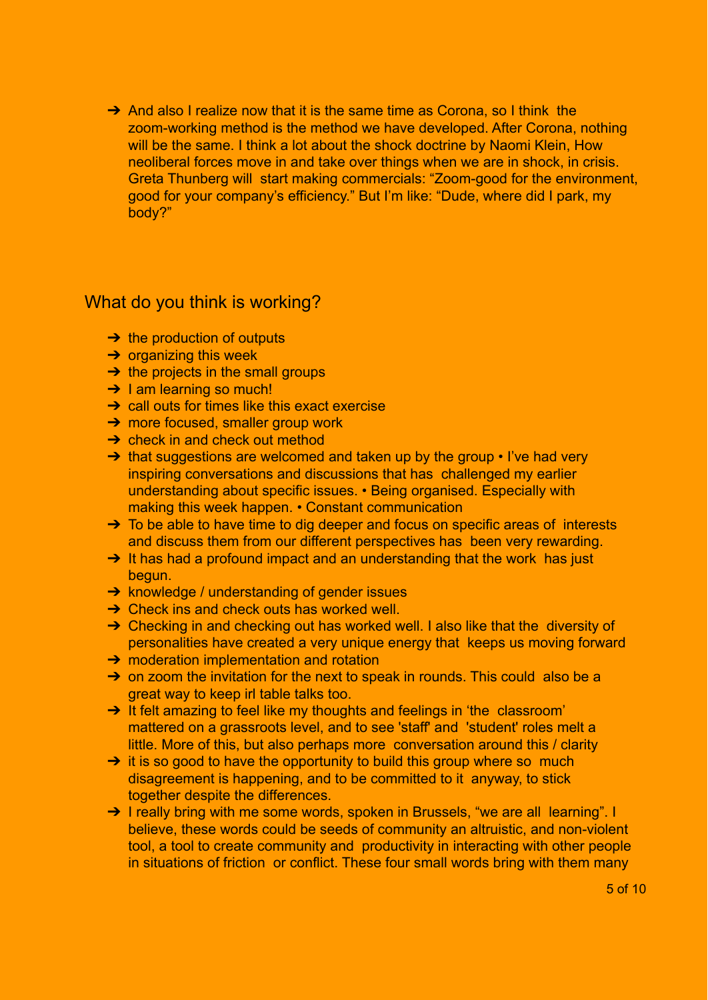→ And also I realize now that it is the same time as Corona, so I think the zoom-working method is the method we have developed. After Corona, nothing will be the same. I think a lot about the shock doctrine by Naomi Klein, How neoliberal forces move in and take over things when we are in shock, in crisis. Greta Thunberg will start making commercials: "Zoom-good for the environment, good for your company's efficiency." But I'm like: "Dude, where did I park, my body?"

### What do you think is working?

- $\rightarrow$  the production of outputs
- $\rightarrow$  organizing this week
- $\rightarrow$  the projects in the small groups
- $\rightarrow$  1 am learning so much!
- **→** call outs for times like this exact exercise
- **→ more focused, smaller group work**
- $\rightarrow$  check in and check out method
- → that suggestions are welcomed and taken up by the group I've had very inspiring conversations and discussions that has challenged my earlier understanding about specific issues. • Being organised. Especially with making this week happen. • Constant communication
- → To be able to have time to dig deeper and focus on specific areas of interests and discuss them from our different perspectives has been very rewarding.
- → It has had a profound impact and an understanding that the work has just begun.
- **→** knowledge / understanding of gender issues
- $\rightarrow$  Check ins and check outs has worked well.
- → Checking in and checking out has worked well. I also like that the diversity of personalities have created a very unique energy that keeps us moving forward
- **→** moderation implementation and rotation
- → on zoom the invitation for the next to speak in rounds. This could also be a great way to keep irl table talks too.
- → It felt amazing to feel like my thoughts and feelings in 'the classroom' mattered on a grassroots level, and to see 'staff' and 'student' roles melt a little. More of this, but also perhaps more conversation around this / clarity
- $\rightarrow$  it is so good to have the opportunity to build this group where so much disagreement is happening, and to be committed to it anyway, to stick together despite the differences.
- → I really bring with me some words, spoken in Brussels, "we are all learning". I believe, these words could be seeds of community an altruistic, and non-violent tool, a tool to create community and productivity in interacting with other people in situations of friction or conflict. These four small words bring with them many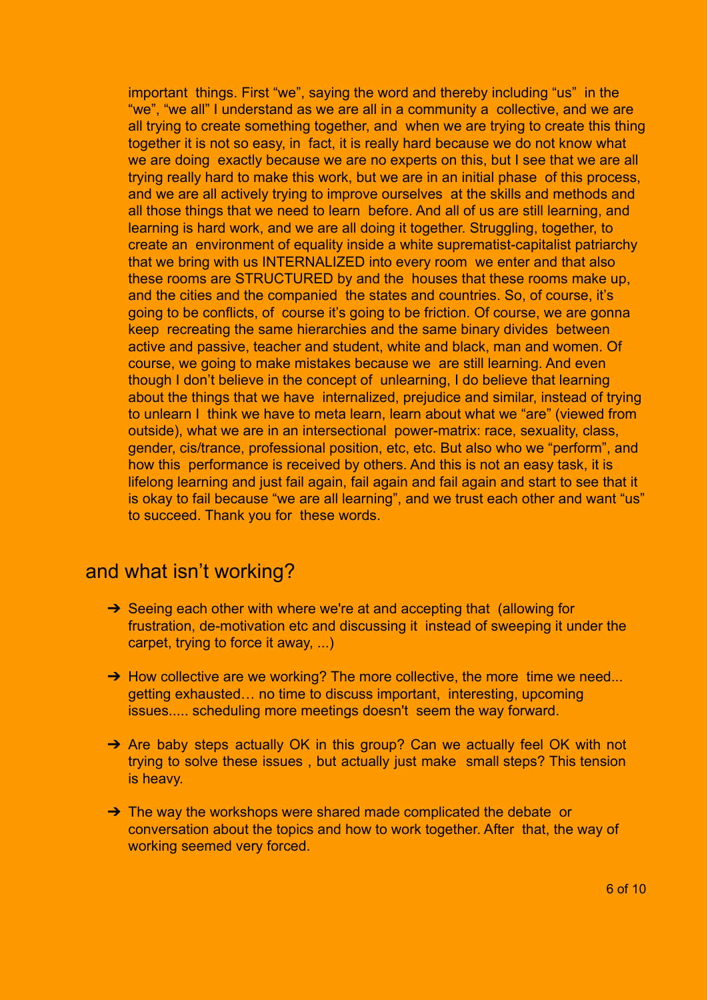important things. First "we", saying the word and thereby including "us" in the "we", "we all" I understand as we are all in a community a collective, and we are all trying to create something together, and when we are trying to create this thing together it is not so easy, in fact, it is really hard because we do not know what we are doing exactly because we are no experts on this, but I see that we are all trying really hard to make this work, but we are in an initial phase of this process, and we are all actively trying to improve ourselves at the skills and methods and all those things that we need to learn before. And all of us are still learning, and learning is hard work, and we are all doing it together. Struggling, together, to create an environment of equality inside a white suprematist-capitalist patriarchy that we bring with us INTERNALIZED into every room we enter and that also these rooms are STRUCTURED by and the houses that these rooms make up, and the cities and the companied the states and countries. So, of course, it's going to be conflicts, of course it's going to be friction. Of course, we are gonna keep recreating the same hierarchies and the same binary divides between active and passive, teacher and student, white and black, man and women. Of course, we going to make mistakes because we are still learning. And even though I don't believe in the concept of unlearning, I do believe that learning about the things that we have internalized, prejudice and similar, instead of trying to unlearn I think we have to meta learn, learn about what we "are" (viewed from outside), what we are in an intersectional power-matrix: race, sexuality, class, gender, cis/trance, professional position, etc, etc. But also who we "perform", and how this performance is received by others. And this is not an easy task, it is lifelong learning and just fail again, fail again and fail again and start to see that it is okay to fail because "we are all learning", and we trust each other and want "us" to succeed. Thank you for these words.

# and what isn't working?

- → Seeing each other with where we're at and accepting that (allowing for frustration, de-motivation etc and discussing it instead of sweeping it under the carpet, trying to force it away, ...)
- → How collective are we working? The more collective, the more time we need... getting exhausted… no time to discuss important, interesting, upcoming issues..... scheduling more meetings doesn't seem the way forward.
- → Are baby steps actually OK in this group? Can we actually feel OK with not trying to solve these issues , but actually just make small steps? This tension is heavy.
- → The way the workshops were shared made complicated the debate or conversation about the topics and how to work together. After that, the way of working seemed very forced.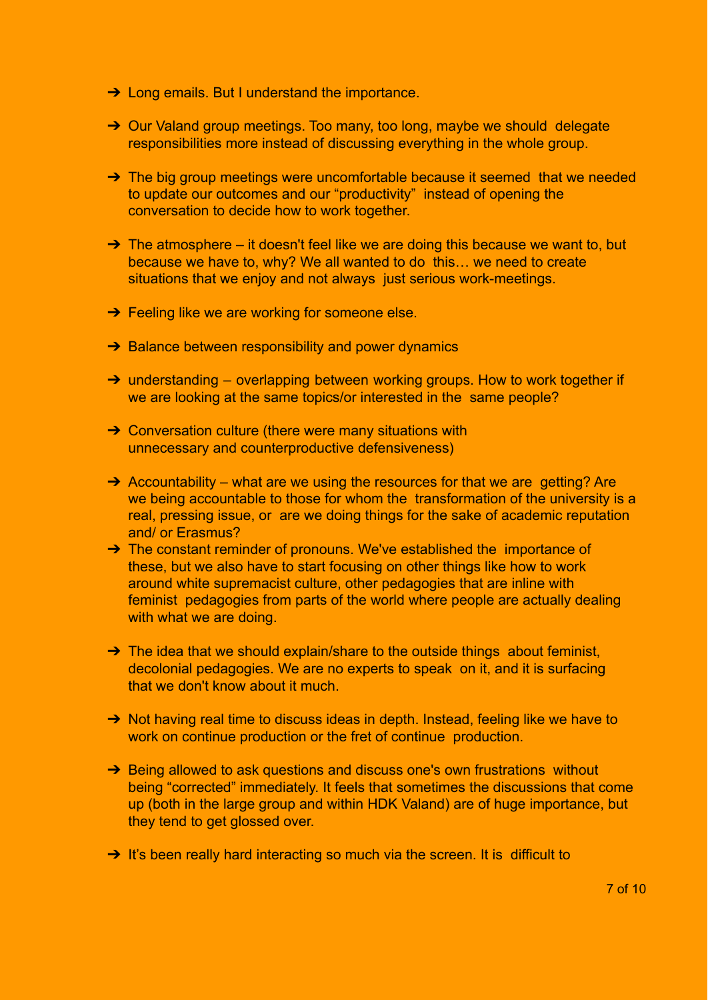- **→ Long emails. But I understand the importance.**
- ➔ Our Valand group meetings. Too many, too long, maybe we should delegate responsibilities more instead of discussing everything in the whole group.
- → The big group meetings were uncomfortable because it seemed that we needed to update our outcomes and our "productivity" instead of opening the conversation to decide how to work together.
- $\rightarrow$  The atmosphere it doesn't feel like we are doing this because we want to, but because we have to, why? We all wanted to do this… we need to create situations that we enjoy and not always just serious work-meetings.
- $\rightarrow$  Feeling like we are working for someone else.
- **→ Balance between responsibility and power dynamics**
- → understanding overlapping between working groups. How to work together if we are looking at the same topics/or interested in the same people?
- → Conversation culture (there were many situations with unnecessary and counterproductive defensiveness)
- $\rightarrow$  Accountability what are we using the resources for that we are getting? Are we being accountable to those for whom the transformation of the university is a real, pressing issue, or are we doing things for the sake of academic reputation and/ or Erasmus?
- → The constant reminder of pronouns. We've established the importance of these, but we also have to start focusing on other things like how to work around white supremacist culture, other pedagogies that are inline with feminist pedagogies from parts of the world where people are actually dealing with what we are doing.
- → The idea that we should explain/share to the outside things about feminist, decolonial pedagogies. We are no experts to speak on it, and it is surfacing that we don't know about it much.
- → Not having real time to discuss ideas in depth. Instead, feeling like we have to work on continue production or the fret of continue production.
- → Being allowed to ask questions and discuss one's own frustrations without being "corrected" immediately. It feels that sometimes the discussions that come up (both in the large group and within HDK Valand) are of huge importance, but they tend to get glossed over.
- → It's been really hard interacting so much via the screen. It is difficult to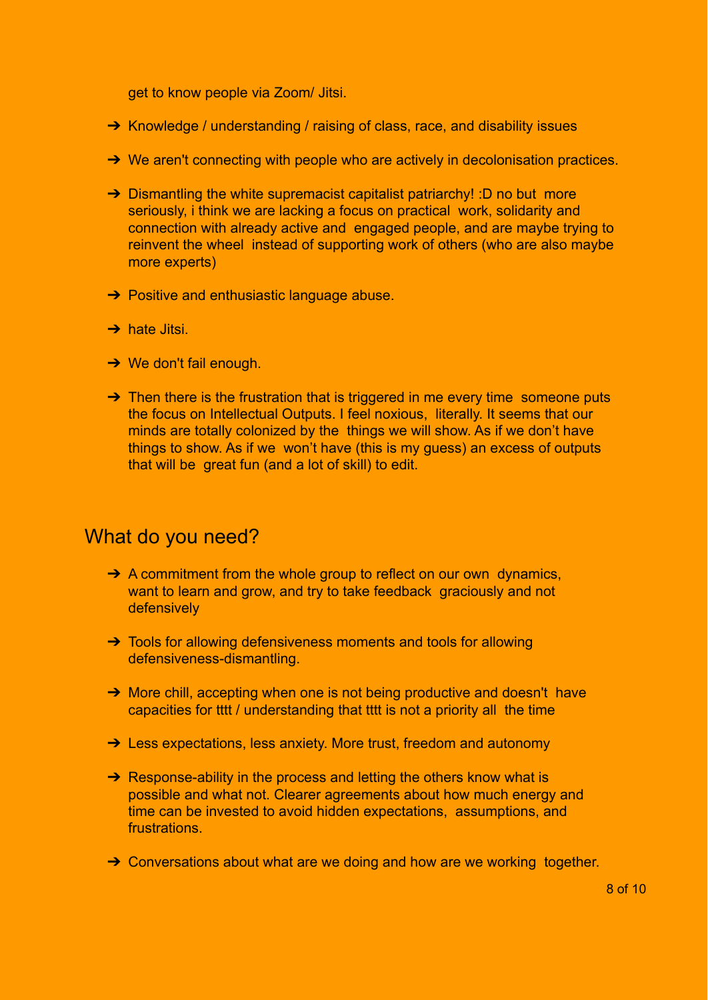get to know people via Zoom/ Jitsi.

- ➔ Knowledge / understanding / raising of class, race, and disability issues
- **→** We aren't connecting with people who are actively in decolonisation practices.
- → Dismantling the white supremacist capitalist patriarchy! :D no but more seriously, i think we are lacking a focus on practical work, solidarity and connection with already active and engaged people, and are maybe trying to reinvent the wheel instead of supporting work of others (who are also maybe more experts)
- $\rightarrow$  Positive and enthusiastic language abuse.
- $\rightarrow$  hate Jitsi.
- $\rightarrow$  We don't fail enough.
- $\rightarrow$  Then there is the frustration that is triggered in me every time someone puts the focus on Intellectual Outputs. I feel noxious, literally. It seems that our minds are totally colonized by the things we will show. As if we don't have things to show. As if we won't have (this is my guess) an excess of outputs that will be great fun (and a lot of skill) to edit.

# What do you need?

- $\rightarrow$  A commitment from the whole group to reflect on our own dynamics, want to learn and grow, and try to take feedback graciously and not defensively
- → Tools for allowing defensiveness moments and tools for allowing defensiveness-dismantling.
- → More chill, accepting when one is not being productive and doesn't have capacities for tttt / understanding that tttt is not a priority all the time
- → Less expectations, less anxiety. More trust, freedom and autonomy
- **→** Response-ability in the process and letting the others know what is possible and what not. Clearer agreements about how much energy and time can be invested to avoid hidden expectations, assumptions, and frustrations.
- → Conversations about what are we doing and how are we working together.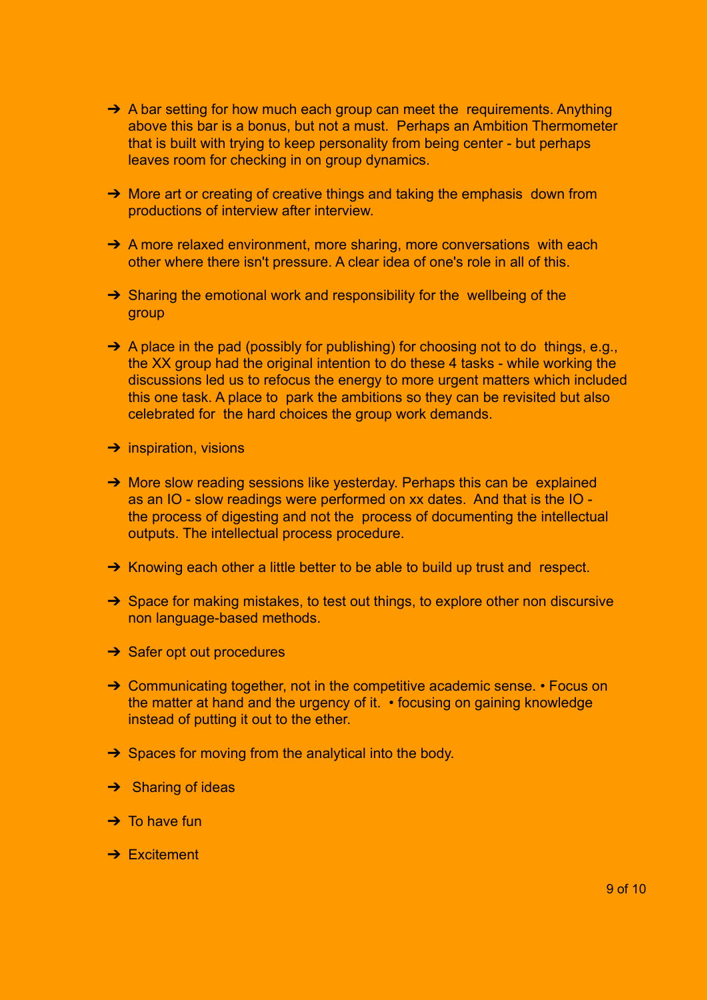- → A bar setting for how much each group can meet the requirements. Anything above this bar is a bonus, but not a must. Perhaps an Ambition Thermometer that is built with trying to keep personality from being center - but perhaps leaves room for checking in on group dynamics.
- → More art or creating of creative things and taking the emphasis down from productions of interview after interview.
- → A more relaxed environment, more sharing, more conversations with each other where there isn't pressure. A clear idea of one's role in all of this.
- → Sharing the emotional work and responsibility for the wellbeing of the group
- ➔ A place in the pad (possibly for publishing) for choosing not to do things, e.g., the XX group had the original intention to do these 4 tasks - while working the discussions led us to refocus the energy to more urgent matters which included this one task. A place to park the ambitions so they can be revisited but also celebrated for the hard choices the group work demands.
- $\rightarrow$  inspiration, visions
- → More slow reading sessions like yesterday. Perhaps this can be explained as an IO - slow readings were performed on xx dates. And that is the IO the process of digesting and not the process of documenting the intellectual outputs. The intellectual process procedure.
- → Knowing each other a little better to be able to build up trust and respect.
- ➔ Space for making mistakes, to test out things, to explore other non discursive non language-based methods.
- **→ Safer opt out procedures**
- → Communicating together, not in the competitive academic sense. Focus on the matter at hand and the urgency of it. • focusing on gaining knowledge instead of putting it out to the ether.
- $\rightarrow$  Spaces for moving from the analytical into the body.
- **→** Sharing of ideas
- $\rightarrow$  To have fun
- **→ Excitement**